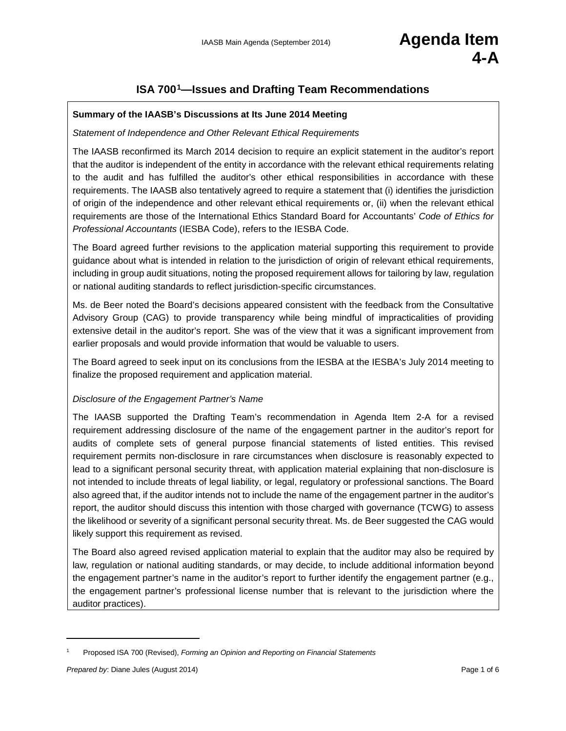# **ISA 700[1—](#page-0-0)Issues and Drafting Team Recommendations**

#### **Summary of the IAASB's Discussions at Its June 2014 Meeting**

#### *Statement of Independence and Other Relevant Ethical Requirements*

The IAASB reconfirmed its March 2014 decision to require an explicit statement in the auditor's report that the auditor is independent of the entity in accordance with the relevant ethical requirements relating to the audit and has fulfilled the auditor's other ethical responsibilities in accordance with these requirements. The IAASB also tentatively agreed to require a statement that (i) identifies the jurisdiction of origin of the independence and other relevant ethical requirements or, (ii) when the relevant ethical requirements are those of the International Ethics Standard Board for Accountants' *Code of Ethics for Professional Accountants* (IESBA Code), refers to the IESBA Code.

The Board agreed further revisions to the application material supporting this requirement to provide guidance about what is intended in relation to the jurisdiction of origin of relevant ethical requirements, including in group audit situations, noting the proposed requirement allows for tailoring by law, regulation or national auditing standards to reflect jurisdiction-specific circumstances.

Ms. de Beer noted the Board's decisions appeared consistent with the feedback from the Consultative Advisory Group (CAG) to provide transparency while being mindful of impracticalities of providing extensive detail in the auditor's report. She was of the view that it was a significant improvement from earlier proposals and would provide information that would be valuable to users.

The Board agreed to seek input on its conclusions from the IESBA at the IESBA's July 2014 meeting to finalize the proposed requirement and application material.

#### *Disclosure of the Engagement Partner's Name*

The IAASB supported the Drafting Team's recommendation in Agenda Item 2-A for a revised requirement addressing disclosure of the name of the engagement partner in the auditor's report for audits of complete sets of general purpose financial statements of listed entities. This revised requirement permits non-disclosure in rare circumstances when disclosure is reasonably expected to lead to a significant personal security threat, with application material explaining that non-disclosure is not intended to include threats of legal liability, or legal, regulatory or professional sanctions. The Board also agreed that, if the auditor intends not to include the name of the engagement partner in the auditor's report, the auditor should discuss this intention with those charged with governance (TCWG) to assess the likelihood or severity of a significant personal security threat. Ms. de Beer suggested the CAG would likely support this requirement as revised.

The Board also agreed revised application material to explain that the auditor may also be required by law, regulation or national auditing standards, or may decide, to include additional information beyond the engagement partner's name in the auditor's report to further identify the engagement partner (e.g., the engagement partner's professional license number that is relevant to the jurisdiction where the auditor practices).

 $\overline{\phantom{a}}$ 

<span id="page-0-0"></span><sup>1</sup> Proposed ISA 700 (Revised), *Forming an Opinion and Reporting on Financial Statements*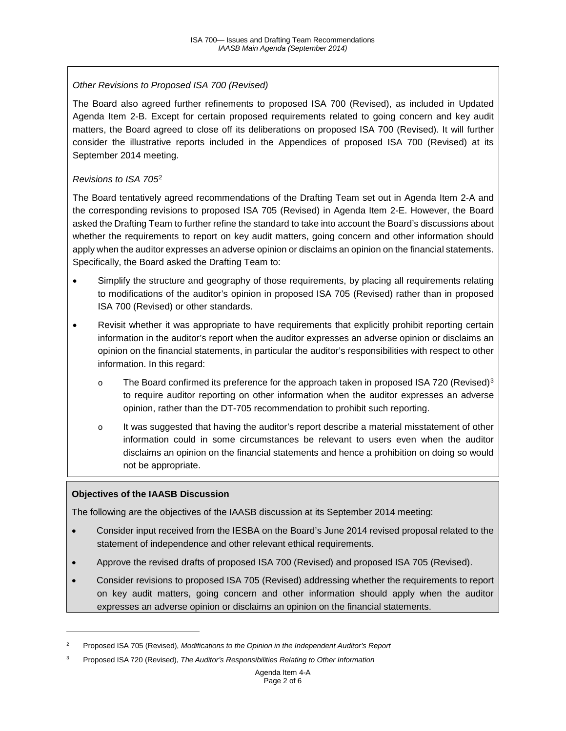### *Other Revisions to Proposed ISA 700 (Revised)*

The Board also agreed further refinements to proposed ISA 700 (Revised), as included in Updated Agenda Item 2-B. Except for certain proposed requirements related to going concern and key audit matters, the Board agreed to close off its deliberations on proposed ISA 700 (Revised). It will further consider the illustrative reports included in the Appendices of proposed ISA 700 (Revised) at its September 2014 meeting.

### *Revisions to ISA 705*[2](#page-1-0)

The Board tentatively agreed recommendations of the Drafting Team set out in Agenda Item 2-A and the corresponding revisions to proposed ISA 705 (Revised) in Agenda Item 2-E. However, the Board asked the Drafting Team to further refine the standard to take into account the Board's discussions about whether the requirements to report on key audit matters, going concern and other information should apply when the auditor expresses an adverse opinion or disclaims an opinion on the financial statements. Specifically, the Board asked the Drafting Team to:

- Simplify the structure and geography of those requirements, by placing all requirements relating to modifications of the auditor's opinion in proposed ISA 705 (Revised) rather than in proposed ISA 700 (Revised) or other standards.
- Revisit whether it was appropriate to have requirements that explicitly prohibit reporting certain information in the auditor's report when the auditor expresses an adverse opinion or disclaims an opinion on the financial statements, in particular the auditor's responsibilities with respect to other information. In this regard:
	- $\circ$  The Board confirmed its preference for the approach taken in proposed ISA 720 (Revised)<sup>[3](#page-1-1)</sup> to require auditor reporting on other information when the auditor expresses an adverse opinion, rather than the DT-705 recommendation to prohibit such reporting.
	- o It was suggested that having the auditor's report describe a material misstatement of other information could in some circumstances be relevant to users even when the auditor disclaims an opinion on the financial statements and hence a prohibition on doing so would not be appropriate.

#### **Objectives of the IAASB Discussion**

 $\overline{\phantom{a}}$ 

The following are the objectives of the IAASB discussion at its September 2014 meeting:

- Consider input received from the IESBA on the Board's June 2014 revised proposal related to the statement of independence and other relevant ethical requirements.
- Approve the revised drafts of proposed ISA 700 (Revised) and proposed ISA 705 (Revised).
- Consider revisions to proposed ISA 705 (Revised) addressing whether the requirements to report on key audit matters, going concern and other information should apply when the auditor expresses an adverse opinion or disclaims an opinion on the financial statements.

<span id="page-1-0"></span><sup>2</sup> Proposed ISA 705 (Revised), *Modifications to the Opinion in the Independent Auditor's Report*

<span id="page-1-1"></span><sup>3</sup> Proposed ISA 720 (Revised), *The Auditor's Responsibilities Relating to Other Information*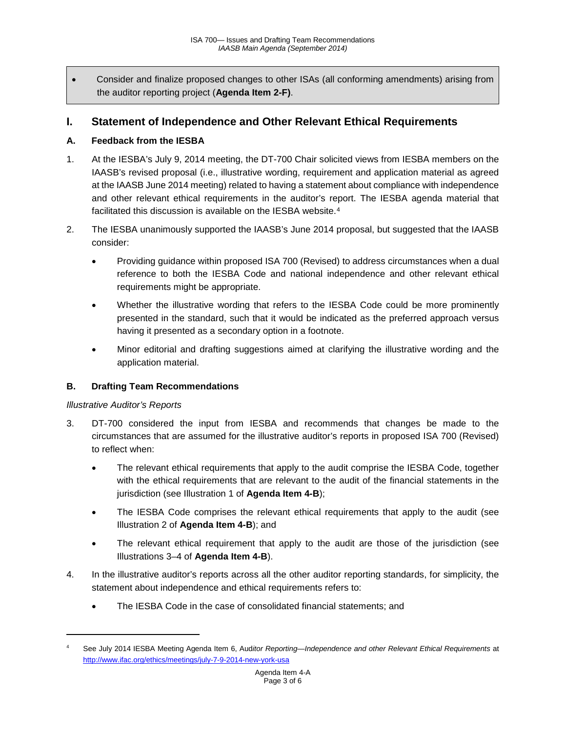• Consider and finalize proposed changes to other ISAs (all conforming amendments) arising from the auditor reporting project (**Agenda Item 2-F)**.

# **I. Statement of Independence and Other Relevant Ethical Requirements**

### **A. Feedback from the IESBA**

- 1. At the IESBA's July 9, 2014 meeting, the DT-700 Chair solicited views from IESBA members on the IAASB's revised proposal (i.e., illustrative wording, requirement and application material as agreed at the IAASB June 2014 meeting) related to having a statement about compliance with independence and other relevant ethical requirements in the auditor's report. The IESBA agenda material that facilitated this discussion is available on the IESBA website.<sup>[4](#page-2-0)</sup>
- 2. The IESBA unanimously supported the IAASB's June 2014 proposal, but suggested that the IAASB consider:
	- Providing guidance within proposed ISA 700 (Revised) to address circumstances when a dual reference to both the IESBA Code and national independence and other relevant ethical requirements might be appropriate.
	- Whether the illustrative wording that refers to the IESBA Code could be more prominently presented in the standard, such that it would be indicated as the preferred approach versus having it presented as a secondary option in a footnote.
	- Minor editorial and drafting suggestions aimed at clarifying the illustrative wording and the application material.

#### **B. Drafting Team Recommendations**

#### *Illustrative Auditor's Reports*

 $\overline{\phantom{a}}$ 

- 3. DT-700 considered the input from IESBA and recommends that changes be made to the circumstances that are assumed for the illustrative auditor's reports in proposed ISA 700 (Revised) to reflect when:
	- The relevant ethical requirements that apply to the audit comprise the IESBA Code, together with the ethical requirements that are relevant to the audit of the financial statements in the jurisdiction (see Illustration 1 of **Agenda Item 4-B**);
	- The IESBA Code comprises the relevant ethical requirements that apply to the audit (see Illustration 2 of **Agenda Item 4-B**); and
	- The relevant ethical requirement that apply to the audit are those of the jurisdiction (see Illustrations 3–4 of **Agenda Item 4-B**).
- 4. In the illustrative auditor's reports across all the other auditor reporting standards, for simplicity, the statement about independence and ethical requirements refers to:
	- The IESBA Code in the case of consolidated financial statements; and

<span id="page-2-0"></span><sup>4</sup> See July 2014 IESBA Meeting Agenda Item 6, Aud*itor Reporting—Independence and other Relevant Ethical Requirements* at <http://www.ifac.org/ethics/meetings/july-7-9-2014-new-york-usa>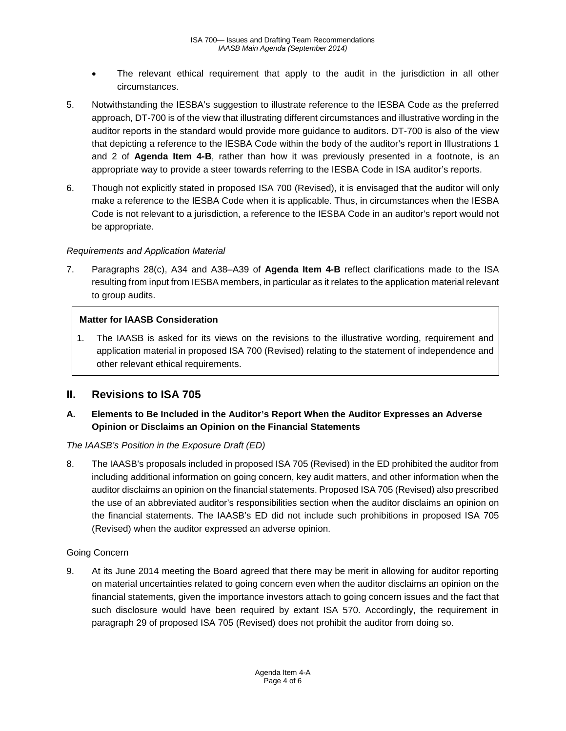- The relevant ethical requirement that apply to the audit in the jurisdiction in all other circumstances.
- 5. Notwithstanding the IESBA's suggestion to illustrate reference to the IESBA Code as the preferred approach, DT-700 is of the view that illustrating different circumstances and illustrative wording in the auditor reports in the standard would provide more guidance to auditors. DT-700 is also of the view that depicting a reference to the IESBA Code within the body of the auditor's report in Illustrations 1 and 2 of **Agenda Item 4-B**, rather than how it was previously presented in a footnote, is an appropriate way to provide a steer towards referring to the IESBA Code in ISA auditor's reports.
- 6. Though not explicitly stated in proposed ISA 700 (Revised), it is envisaged that the auditor will only make a reference to the IESBA Code when it is applicable. Thus, in circumstances when the IESBA Code is not relevant to a jurisdiction, a reference to the IESBA Code in an auditor's report would not be appropriate.

#### *Requirements and Application Material*

7. Paragraphs 28(c), A34 and A38–A39 of **Agenda Item 4-B** reflect clarifications made to the ISA resulting from input from IESBA members, in particular as it relates to the application material relevant to group audits.

#### **Matter for IAASB Consideration**

1. The IAASB is asked for its views on the revisions to the illustrative wording, requirement and application material in proposed ISA 700 (Revised) relating to the statement of independence and other relevant ethical requirements.

## **II. Revisions to ISA 705**

### **A. Elements to Be Included in the Auditor's Report When the Auditor Expresses an Adverse Opinion or Disclaims an Opinion on the Financial Statements**

#### *The IAASB's Position in the Exposure Draft (ED)*

8. The IAASB's proposals included in proposed ISA 705 (Revised) in the ED prohibited the auditor from including additional information on going concern, key audit matters, and other information when the auditor disclaims an opinion on the financial statements. Proposed ISA 705 (Revised) also prescribed the use of an abbreviated auditor's responsibilities section when the auditor disclaims an opinion on the financial statements. The IAASB's ED did not include such prohibitions in proposed ISA 705 (Revised) when the auditor expressed an adverse opinion.

#### Going Concern

9. At its June 2014 meeting the Board agreed that there may be merit in allowing for auditor reporting on material uncertainties related to going concern even when the auditor disclaims an opinion on the financial statements, given the importance investors attach to going concern issues and the fact that such disclosure would have been required by extant ISA 570. Accordingly, the requirement in paragraph 29 of proposed ISA 705 (Revised) does not prohibit the auditor from doing so.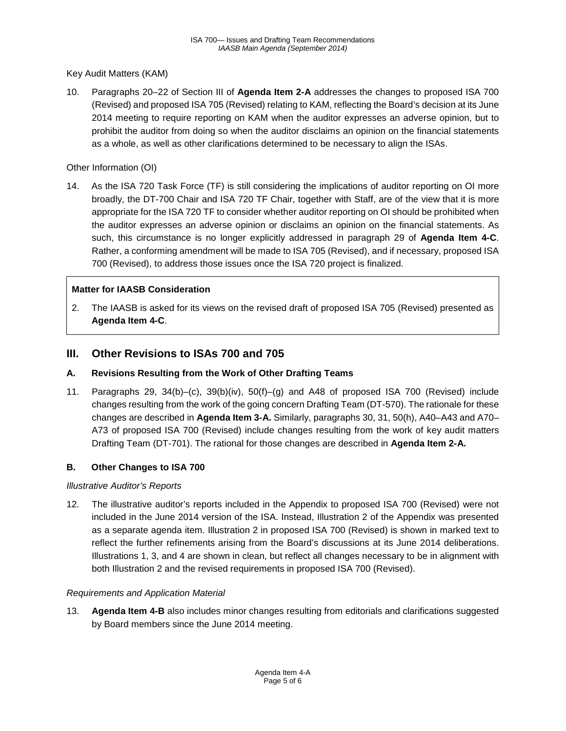Key Audit Matters (KAM)

10. Paragraphs 20–22 of Section III of **Agenda Item 2-A** addresses the changes to proposed ISA 700 (Revised) and proposed ISA 705 (Revised) relating to KAM, reflecting the Board's decision at its June 2014 meeting to require reporting on KAM when the auditor expresses an adverse opinion, but to prohibit the auditor from doing so when the auditor disclaims an opinion on the financial statements as a whole, as well as other clarifications determined to be necessary to align the ISAs.

#### Other Information (OI)

14. As the ISA 720 Task Force (TF) is still considering the implications of auditor reporting on OI more broadly, the DT-700 Chair and ISA 720 TF Chair, together with Staff, are of the view that it is more appropriate for the ISA 720 TF to consider whether auditor reporting on OI should be prohibited when the auditor expresses an adverse opinion or disclaims an opinion on the financial statements. As such, this circumstance is no longer explicitly addressed in paragraph 29 of **Agenda Item 4-C**. Rather, a conforming amendment will be made to ISA 705 (Revised), and if necessary, proposed ISA 700 (Revised), to address those issues once the ISA 720 project is finalized.

### **Matter for IAASB Consideration**

2. The IAASB is asked for its views on the revised draft of proposed ISA 705 (Revised) presented as **Agenda Item 4-C**.

## **III. Other Revisions to ISAs 700 and 705**

#### **A. Revisions Resulting from the Work of Other Drafting Teams**

11. Paragraphs 29, 34(b)–(c), 39(b)(iv), 50(f)–(g) and A48 of proposed ISA 700 (Revised) include changes resulting from the work of the going concern Drafting Team (DT-570). The rationale for these changes are described in **Agenda Item 3-A.** Similarly, paragraphs 30, 31, 50(h), A40–A43 and A70– A73 of proposed ISA 700 (Revised) include changes resulting from the work of key audit matters Drafting Team (DT-701). The rational for those changes are described in **Agenda Item 2-A.** 

#### **B. Other Changes to ISA 700**

#### *Illustrative Auditor's Reports*

12. The illustrative auditor's reports included in the Appendix to proposed ISA 700 (Revised) were not included in the June 2014 version of the ISA. Instead, Illustration 2 of the Appendix was presented as a separate agenda item. Illustration 2 in proposed ISA 700 (Revised) is shown in marked text to reflect the further refinements arising from the Board's discussions at its June 2014 deliberations. Illustrations 1, 3, and 4 are shown in clean, but reflect all changes necessary to be in alignment with both Illustration 2 and the revised requirements in proposed ISA 700 (Revised).

#### *Requirements and Application Material*

13. **Agenda Item 4-B** also includes minor changes resulting from editorials and clarifications suggested by Board members since the June 2014 meeting.